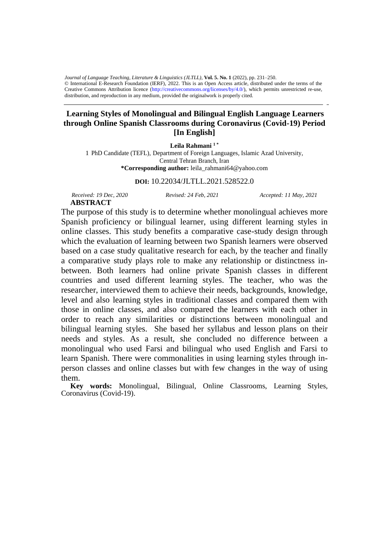Creative Commons Attribution licence (http://creativecommons.org/licenses/by/4.0/), which permits unrestricted re-use, distribution, and reproduction in any medium, provided the originalwork is properly cited. *Journal of Language Teaching, Literature & Linguistics (JLTLL)*, **Vol. 5. No. 1** (2022), pp. 231–250. © International E-Research Foundation (IERF), 2022. This is an Open Access article, distributed under the terms of the

## **Learning Styles of Monolingual and Bilingual English Language Learners through Online Spanish Classrooms during Coronavirus (Covid-19) Period [In English]**

**Leila Rahmani <sup>1</sup> \***

1 PhD Candidate (TEFL), Department of Foreign Languages, Islamic Azad University, Central Tehran Branch, Iran **\*Corresponding author:** leila\_rahmani64@yahoo.com

**DOI:** 10.22034/JLTLL.2021.528522.0

*Received: 19 Dec, 2020 Revised: 24 Feb, 2021 Accepted: 11 May, 2021* **ABSTRACT**

The purpose of this study is to determine whether monolingual achieves more Spanish proficiency or bilingual learner, using different learning styles in online classes. This study benefits a comparative case-study design through which the evaluation of learning between two Spanish learners were observed based on a case study qualitative research for each, by the teacher and finally

a comparative study plays role to make any relationship or distinctness inbetween. Both learners had online private Spanish classes in different countries and used different learning styles. The teacher, who was the researcher, interviewed them to achieve their needs, backgrounds, knowledge, level and also learning styles in traditional classes and compared them with those in online classes, and also compared the learners with each other in order to reach any similarities or distinctions between monolingual and bilingual learning styles. She based her syllabus and lesson plans on their needs and styles. As a result, she concluded no difference between a monolingual who used Farsi and bilingual who used English and Farsi to learn Spanish. There were commonalities in using learning styles through inperson classes and online classes but with few changes in the way of using them.

**Key words:** Monolingual, Bilingual, Online Classrooms, Learning Styles, Coronavirus (Covid-19).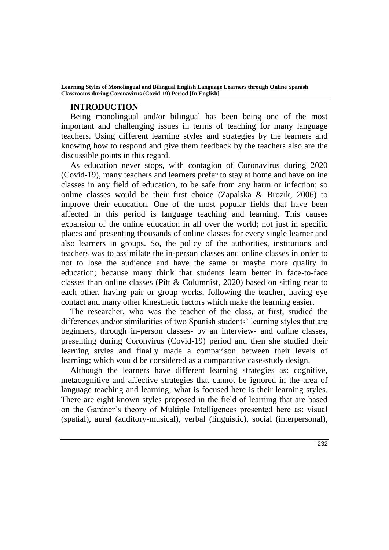#### **INTRODUCTION**

Being monolingual and/or bilingual has been being one of the most important and challenging issues in terms of teaching for many language teachers. Using different learning styles and strategies by the learners and knowing how to respond and give them feedback by the teachers also are the discussible points in this regard.

As education never stops, with contagion of Coronavirus during 2020 (Covid-19), many teachers and learners prefer to stay at home and have online classes in any field of education, to be safe from any harm or infection; so online classes would be their first choice (Zapalska & Brozik, 2006) to improve their education. One of the most popular fields that have been affected in this period is language teaching and learning. This causes expansion of the online education in all over the world; not just in specific places and presenting thousands of online classes for every single learner and also learners in groups. So, the policy of the authorities, institutions and teachers was to assimilate the in-person classes and online classes in order to not to lose the audience and have the same or maybe more quality in education; because many think that students learn better in face-to-face classes than online classes (Pitt & Columnist, 2020) based on sitting near to each other, having pair or group works, following the teacher, having eye contact and many other kinesthetic factors which make the learning easier.

The researcher, who was the teacher of the class, at first, studied the differences and/or similarities of two Spanish students' learning styles that are beginners, through in-person classes- by an interview- and online classes, presenting during Coronvirus (Covid-19) period and then she studied their learning styles and finally made a comparison between their levels of learning; which would be considered as a comparative case-study design.

Although the learners have different learning strategies as: cognitive, metacognitive and affective strategies that cannot be ignored in the area of language teaching and learning; what is focused here is their learning styles. There are eight known styles proposed in the field of learning that are based on the Gardner's theory of Multiple Intelligences presented here as: visual (spatial), aural (auditory-musical), verbal (linguistic), social (interpersonal),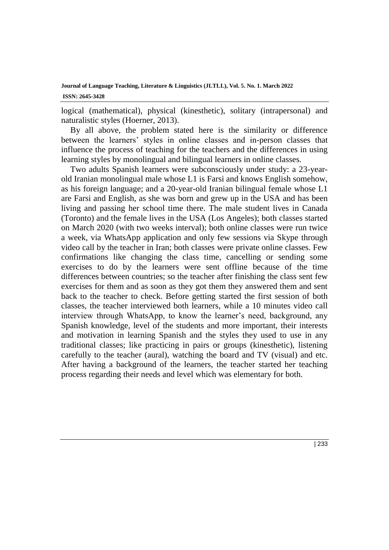logical (mathematical), physical (kinesthetic), solitary (intrapersonal) and naturalistic styles (Hoerner, 2013).

By all above, the problem stated here is the similarity or difference between the learners' styles in online classes and in-person classes that influence the process of teaching for the teachers and the differences in using learning styles by monolingual and bilingual learners in online classes.

Two adults Spanish learners were subconsciously under study: a 23-yearold Iranian monolingual male whose L1 is Farsi and knows English somehow, as his foreign language; and a 20-year-old Iranian bilingual female whose L1 are Farsi and English, as she was born and grew up in the USA and has been living and passing her school time there. The male student lives in Canada (Toronto) and the female lives in the USA (Los Angeles); both classes started on March 2020 (with two weeks interval); both online classes were run twice a week, via WhatsApp application and only few sessions via Skype through video call by the teacher in Iran; both classes were private online classes. Few confirmations like changing the class time, cancelling or sending some exercises to do by the learners were sent offline because of the time differences between countries; so the teacher after finishing the class sent few exercises for them and as soon as they got them they answered them and sent back to the teacher to check. Before getting started the first session of both classes, the teacher interviewed both learners, while a 10 minutes video call interview through WhatsApp, to know the learner's need, background, any Spanish knowledge, level of the students and more important, their interests and motivation in learning Spanish and the styles they used to use in any traditional classes; like practicing in pairs or groups (kinesthetic), listening carefully to the teacher (aural), watching the board and TV (visual) and etc. After having a background of the learners, the teacher started her teaching process regarding their needs and level which was elementary for both.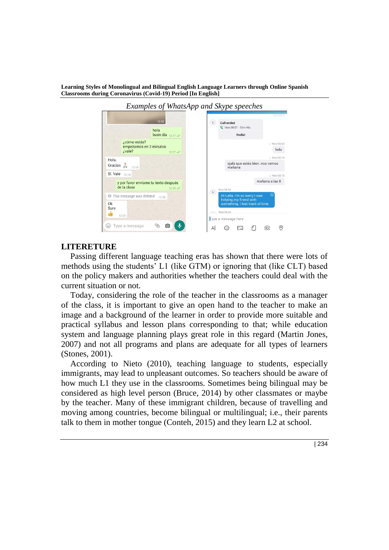

## **LITERETURE**

Passing different language teaching eras has shown that there were lots of methods using the students' L1 (like GTM) or ignoring that (like CLT) based on the policy makers and authorities whether the teachers could deal with the current situation or not.

Today, considering the role of the teacher in the classrooms as a manager of the class, it is important to give an open hand to the teacher to make an image and a background of the learner in order to provide more suitable and practical syllabus and lesson plans corresponding to that; while education system and language planning plays great role in this regard (Martin Jones, 2007) and not all programs and plans are adequate for all types of learners (Stones, 2001).

According to Nieto (2010), teaching language to students, especially immigrants, may lead to unpleasant outcomes. So teachers should be aware of how much L1 they use in the classrooms. Sometimes being bilingual may be considered as high level person (Bruce, 2014) by other classmates or maybe by the teacher. Many of these immigrant children, because of travelling and moving among countries, become bilingual or multilingual; i.e., their parents talk to them in mother tongue (Conteh, 2015) and they learn L2 at school.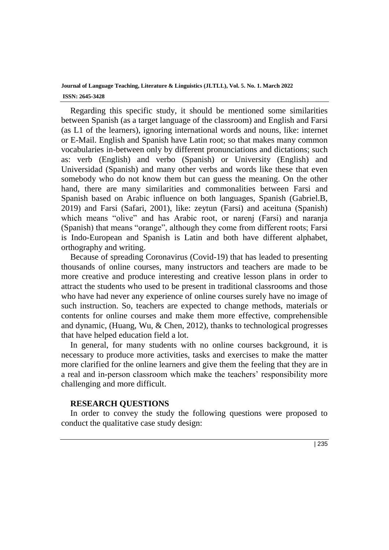Regarding this specific study, it should be mentioned some similarities between Spanish (as a target language of the classroom) and English and Farsi (as L1 of the learners), ignoring international words and nouns, like: internet or E-Mail. English and Spanish have Latin root; so that makes many common vocabularies in-between only by different pronunciations and dictations; such as: verb (English) and verbo (Spanish) or University (English) and Universidad (Spanish) and many other verbs and words like these that even somebody who do not know them but can guess the meaning. On the other hand, there are many similarities and commonalities between Farsi and Spanish based on Arabic influence on both languages, Spanish (Gabriel.B, 2019) and Farsi (Safari, 2001), like: zeytun (Farsi) and aceituna (Spanish) which means "olive" and has Arabic root, or narenj (Farsi) and naranja (Spanish) that means "orange", although they come from different roots; Farsi is Indo-European and Spanish is Latin and both have different alphabet, orthography and writing.

Because of spreading Coronavirus (Covid-19) that has leaded to presenting thousands of online courses, many instructors and teachers are made to be more creative and produce interesting and creative lesson plans in order to attract the students who used to be present in traditional classrooms and those who have had never any experience of online courses surely have no image of such instruction. So, teachers are expected to change methods, materials or contents for online courses and make them more effective, comprehensible and dynamic, (Huang, Wu, & Chen, 2012), thanks to technological progresses that have helped education field a lot.

In general, for many students with no online courses background, it is necessary to produce more activities, tasks and exercises to make the matter more clarified for the online learners and give them the feeling that they are in a real and in-person classroom which make the teachers' responsibility more challenging and more difficult.

#### **RESEARCH QUESTIONS**

In order to convey the study the following questions were proposed to conduct the qualitative case study design: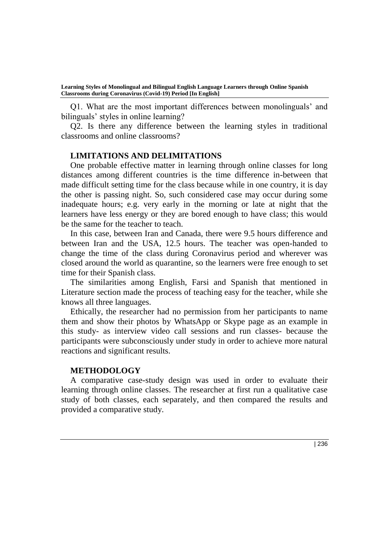Q1. What are the most important differences between monolinguals' and bilinguals' styles in online learning?

Q2. Is there any difference between the learning styles in traditional classrooms and online classrooms?

#### **LIMITATIONS AND DELIMITATIONS**

One probable effective matter in learning through online classes for long distances among different countries is the time difference in-between that made difficult setting time for the class because while in one country, it is day the other is passing night. So, such considered case may occur during some inadequate hours; e.g. very early in the morning or late at night that the learners have less energy or they are bored enough to have class; this would be the same for the teacher to teach.

In this case, between Iran and Canada, there were 9.5 hours difference and between Iran and the USA, 12.5 hours. The teacher was open-handed to change the time of the class during Coronavirus period and wherever was closed around the world as quarantine, so the learners were free enough to set time for their Spanish class.

The similarities among English, Farsi and Spanish that mentioned in Literature section made the process of teaching easy for the teacher, while she knows all three languages.

Ethically, the researcher had no permission from her participants to name them and show their photos by WhatsApp or Skype page as an example in this study- as interview video call sessions and run classes- because the participants were subconsciously under study in order to achieve more natural reactions and significant results.

#### **METHODOLOGY**

A comparative case-study design was used in order to evaluate their learning through online classes. The researcher at first run a qualitative case study of both classes, each separately, and then compared the results and provided a comparative study.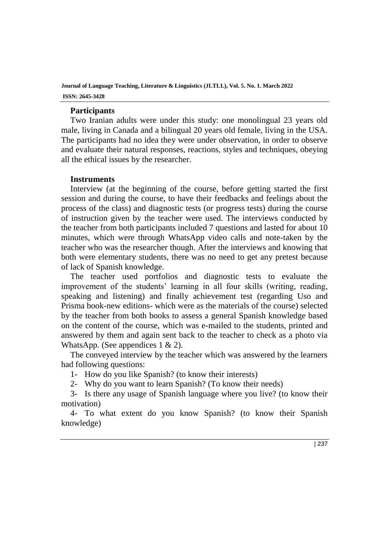## **Participants**

Two Iranian adults were under this study: one monolingual 23 years old male, living in Canada and a bilingual 20 years old female, living in the USA. The participants had no idea they were under observation, in order to observe and evaluate their natural responses, reactions, styles and techniques, obeying all the ethical issues by the researcher.

#### **Instruments**

Interview (at the beginning of the course, before getting started the first session and during the course, to have their feedbacks and feelings about the process of the class) and diagnostic tests (or progress tests) during the course of instruction given by the teacher were used. The interviews conducted by the teacher from both participants included 7 questions and lasted for about 10 minutes, which were through WhatsApp video calls and note-taken by the teacher who was the researcher though. After the interviews and knowing that both were elementary students, there was no need to get any pretest because of lack of Spanish knowledge.

The teacher used portfolios and diagnostic tests to evaluate the improvement of the students' learning in all four skills (writing, reading, speaking and listening) and finally achievement test (regarding Uso and Prisma book-new editions- which were as the materials of the course) selected by the teacher from both books to assess a general Spanish knowledge based on the content of the course, which was e-mailed to the students, printed and answered by them and again sent back to the teacher to check as a photo via WhatsApp. (See appendices 1 & 2).

The conveyed interview by the teacher which was answered by the learners had following questions:

1- How do you like Spanish? (to know their interests)

2- Why do you want to learn Spanish? (To know their needs)

3- Is there any usage of Spanish language where you live? (to know their motivation)

4- To what extent do you know Spanish? (to know their Spanish knowledge)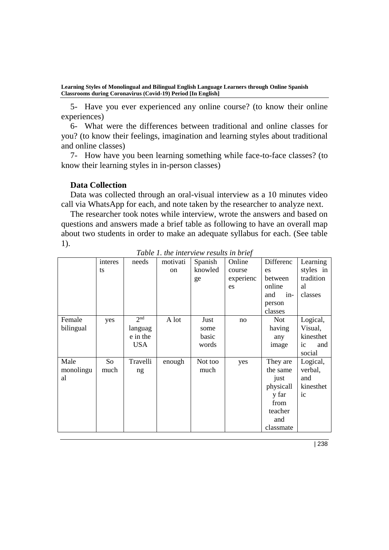5- Have you ever experienced any online course? (to know their online experiences)

6- What were the differences between traditional and online classes for you? (to know their feelings, imagination and learning styles about traditional and online classes)

7- How have you been learning something while face-to-face classes? (to know their learning styles in in-person classes)

## **Data Collection**

Data was collected through an oral-visual interview as a 10 minutes video call via WhatsApp for each, and note taken by the researcher to analyze next.

The researcher took notes while interview, wrote the answers and based on questions and answers made a brief table as following to have an overall map about two students in order to make an adequate syllabus for each. (See table 1).

|                         | interes<br>ts | needs                                                | motivati<br><sub>on</sub> | Spanish<br>knowled<br>ge       | Online<br>course<br>experienc<br>es | Differenc<br>es<br>between<br>online<br>and<br>$in-$<br>person<br>classes                 | Learning<br>styles in<br>tradition<br>al<br>classes     |
|-------------------------|---------------|------------------------------------------------------|---------------------------|--------------------------------|-------------------------------------|-------------------------------------------------------------------------------------------|---------------------------------------------------------|
| Female<br>bilingual     | yes           | 2 <sub>nd</sub><br>languag<br>e in the<br><b>USA</b> | A lot                     | Just<br>some<br>basic<br>words | no                                  | <b>Not</b><br>having<br>any<br>image                                                      | Logical,<br>Visual,<br>kinesthet<br>ic<br>and<br>social |
| Male<br>monolingu<br>al | So<br>much    | Travelli<br>ng                                       | enough                    | Not too<br>much                | yes                                 | They are<br>the same<br>just<br>physicall<br>y far<br>from<br>teacher<br>and<br>classmate | Logical,<br>verbal,<br>and<br>kinesthet<br>ic           |

*Table 1. the interview results in brief*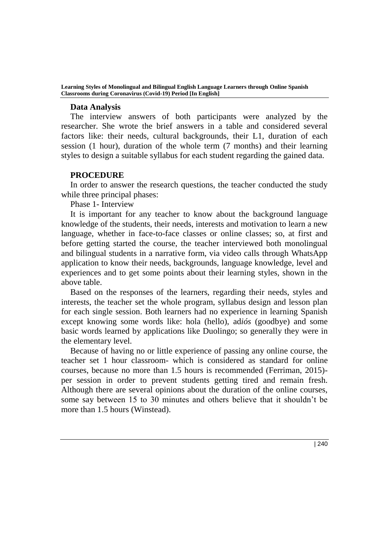#### **Data Analysis**

The interview answers of both participants were analyzed by the researcher. She wrote the brief answers in a table and considered several factors like: their needs, cultural backgrounds, their L1, duration of each session (1 hour), duration of the whole term (7 months) and their learning styles to design a suitable syllabus for each student regarding the gained data.

## **PROCEDURE**

In order to answer the research questions, the teacher conducted the study while three principal phases:

Phase 1- Interview

It is important for any teacher to know about the background language knowledge of the students, their needs, interests and motivation to learn a new language, whether in face-to-face classes or online classes; so, at first and before getting started the course, the teacher interviewed both monolingual and bilingual students in a narrative form, via video calls through WhatsApp application to know their needs, backgrounds, language knowledge, level and experiences and to get some points about their learning styles, shown in the above table.

Based on the responses of the learners, regarding their needs, styles and interests, the teacher set the whole program, syllabus design and lesson plan for each single session. Both learners had no experience in learning Spanish except knowing some words like: hola (hello), ad*iós* (goodbye) and some basic words learned by applications like Duolingo; so generally they were in the elementary level.

Because of having no or little experience of passing any online course, the teacher set 1 hour classroom- which is considered as standard for online courses, because no more than 1.5 hours is recommended (Ferriman, 2015) per session in order to prevent students getting tired and remain fresh. Although there are several opinions about the duration of the online courses, some say between 15 to 30 minutes and others believe that it shouldn't be more than 1.5 hours (Winstead).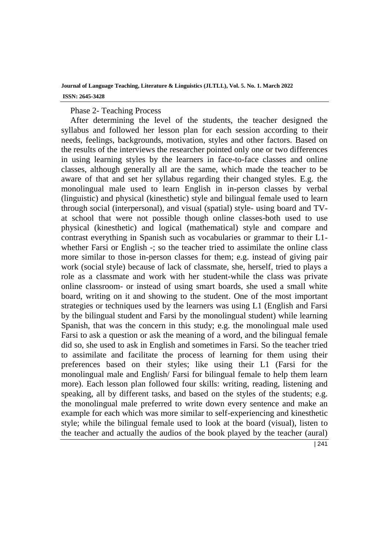#### Phase 2- Teaching Process

After determining the level of the students, the teacher designed the syllabus and followed her lesson plan for each session according to their needs, feelings, backgrounds, motivation, styles and other factors. Based on the results of the interviews the researcher pointed only one or two differences in using learning styles by the learners in face-to-face classes and online classes, although generally all are the same, which made the teacher to be aware of that and set her syllabus regarding their changed styles. E.g. the monolingual male used to learn English in in-person classes by verbal (linguistic) and physical (kinesthetic) style and bilingual female used to learn through social (interpersonal), and visual (spatial) style- using board and TVat school that were not possible though online classes-both used to use physical (kinesthetic) and logical (mathematical) style and compare and contrast everything in Spanish such as vocabularies or grammar to their L1 whether Farsi or English -; so the teacher tried to assimilate the online class more similar to those in-person classes for them; e.g. instead of giving pair work (social style) because of lack of classmate, she, herself, tried to plays a role as a classmate and work with her student-while the class was private online classroom- or instead of using smart boards, she used a small white board, writing on it and showing to the student. One of the most important strategies or techniques used by the learners was using L1 (English and Farsi by the bilingual student and Farsi by the monolingual student) while learning Spanish, that was the concern in this study; e.g. the monolingual male used Farsi to ask a question or ask the meaning of a word, and the bilingual female did so, she used to ask in English and sometimes in Farsi. So the teacher tried to assimilate and facilitate the process of learning for them using their preferences based on their styles; like using their L1 (Farsi for the monolingual male and English/ Farsi for bilingual female to help them learn more). Each lesson plan followed four skills: writing, reading, listening and speaking, all by different tasks, and based on the styles of the students; e.g. the monolingual male preferred to write down every sentence and make an example for each which was more similar to self-experiencing and kinesthetic style; while the bilingual female used to look at the board (visual), listen to the teacher and actually the audios of the book played by the teacher (aural)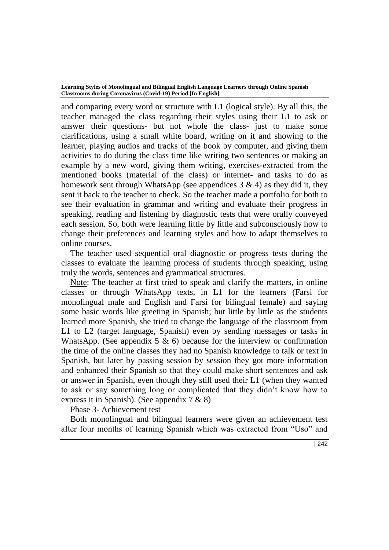and comparing every word or structure with L1 (logical style). By all this, the teacher managed the class regarding their styles using their L1 to ask or answer their questions- but not whole the class- just to make some clarifications, using a small white board, writing on it and showing to the learner, playing audios and tracks of the book by computer, and giving them activities to do during the class time like writing two sentences or making an example by a new word, giving them writing, exercises-extracted from the mentioned books (material of the class) or internet- and tasks to do as homework sent through WhatsApp (see appendices  $3 \& 4$ ) as they did it, they sent it back to the teacher to check. So the teacher made a portfolio for both to see their evaluation in grammar and writing and evaluate their progress in speaking, reading and listening by diagnostic tests that were orally conveyed each session. So, both were learning little by little and subconsciously how to change their preferences and learning styles and how to adapt themselves to online courses.

The teacher used sequential oral diagnostic or progress tests during the classes to evaluate the learning process of students through speaking, using truly the words, sentences and grammatical structures.

Note: The teacher at first tried to speak and clarify the matters, in online classes or through WhatsApp texts, in L1 for the learners (Farsi for monolingual male and English and Farsi for bilingual female) and saying some basic words like greeting in Spanish; but little by little as the students learned more Spanish, she tried to change the language of the classroom from L1 to L2 (target language, Spanish) even by sending messages or tasks in WhatsApp. (See appendix 5  $\&$  6) because for the interview or confirmation the time of the online classes they had no Spanish knowledge to talk or text in Spanish, but later by passing session by session they got more information and enhanced their Spanish so that they could make short sentences and ask or answer in Spanish, even though they still used their L1 (when they wanted to ask or say something long or complicated that they didn't know how to express it in Spanish). (See appendix 7 & 8)

Phase 3- Achievement test

Both monolingual and bilingual learners were given an achievement test after four months of learning Spanish which was extracted from "Uso" and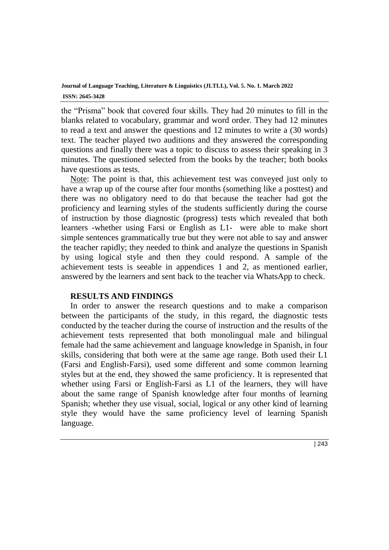the "Prisma" book that covered four skills. They had 20 minutes to fill in the blanks related to vocabulary, grammar and word order. They had 12 minutes to read a text and answer the questions and 12 minutes to write a (30 words) text. The teacher played two auditions and they answered the corresponding questions and finally there was a topic to discuss to assess their speaking in 3 minutes. The questioned selected from the books by the teacher; both books have questions as tests.

Note: The point is that, this achievement test was conveyed just only to have a wrap up of the course after four months (something like a posttest) and there was no obligatory need to do that because the teacher had got the proficiency and learning styles of the students sufficiently during the course of instruction by those diagnostic (progress) tests which revealed that both learners -whether using Farsi or English as L1- were able to make short simple sentences grammatically true but they were not able to say and answer the teacher rapidly; they needed to think and analyze the questions in Spanish by using logical style and then they could respond. A sample of the achievement tests is seeable in appendices 1 and 2, as mentioned earlier, answered by the learners and sent back to the teacher via WhatsApp to check.

## **RESULTS AND FINDINGS**

In order to answer the research questions and to make a comparison between the participants of the study, in this regard, the diagnostic tests conducted by the teacher during the course of instruction and the results of the achievement tests represented that both monolingual male and bilingual female had the same achievement and language knowledge in Spanish, in four skills, considering that both were at the same age range. Both used their L1 (Farsi and English-Farsi), used some different and some common learning styles but at the end, they showed the same proficiency. It is represented that whether using Farsi or English-Farsi as L1 of the learners, they will have about the same range of Spanish knowledge after four months of learning Spanish; whether they use visual, social, logical or any other kind of learning style they would have the same proficiency level of learning Spanish language.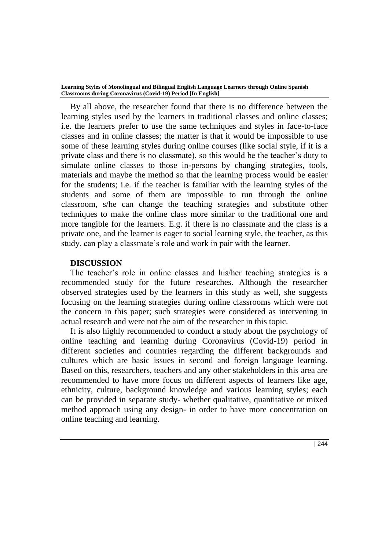By all above, the researcher found that there is no difference between the learning styles used by the learners in traditional classes and online classes; i.e. the learners prefer to use the same techniques and styles in face-to-face classes and in online classes; the matter is that it would be impossible to use some of these learning styles during online courses (like social style, if it is a private class and there is no classmate), so this would be the teacher's duty to simulate online classes to those in-persons by changing strategies, tools, materials and maybe the method so that the learning process would be easier for the students; i.e. if the teacher is familiar with the learning styles of the students and some of them are impossible to run through the online classroom, s/he can change the teaching strategies and substitute other techniques to make the online class more similar to the traditional one and more tangible for the learners. E.g. if there is no classmate and the class is a private one, and the learner is eager to social learning style, the teacher, as this study, can play a classmate's role and work in pair with the learner.

#### **DISCUSSION**

The teacher's role in online classes and his/her teaching strategies is a recommended study for the future researches. Although the researcher observed strategies used by the learners in this study as well, she suggests focusing on the learning strategies during online classrooms which were not the concern in this paper; such strategies were considered as intervening in actual research and were not the aim of the researcher in this topic.

It is also highly recommended to conduct a study about the psychology of online teaching and learning during Coronavirus (Covid-19) period in different societies and countries regarding the different backgrounds and cultures which are basic issues in second and foreign language learning. Based on this, researchers, teachers and any other stakeholders in this area are recommended to have more focus on different aspects of learners like age, ethnicity, culture, background knowledge and various learning styles; each can be provided in separate study- whether qualitative, quantitative or mixed method approach using any design- in order to have more concentration on online teaching and learning.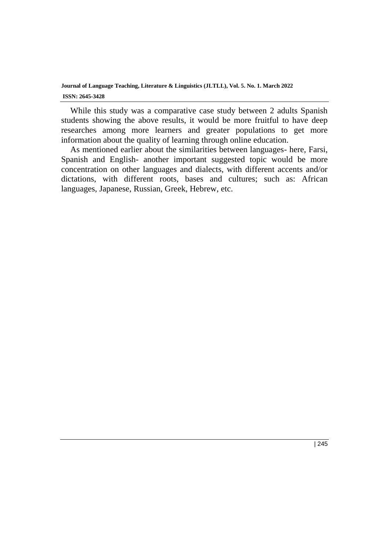While this study was a comparative case study between 2 adults Spanish students showing the above results, it would be more fruitful to have deep researches among more learners and greater populations to get more information about the quality of learning through online education.

As mentioned earlier about the similarities between languages- here, Farsi, Spanish and English- another important suggested topic would be more concentration on other languages and dialects, with different accents and/or dictations, with different roots, bases and cultures; such as: African languages, Japanese, Russian, Greek, Hebrew, etc.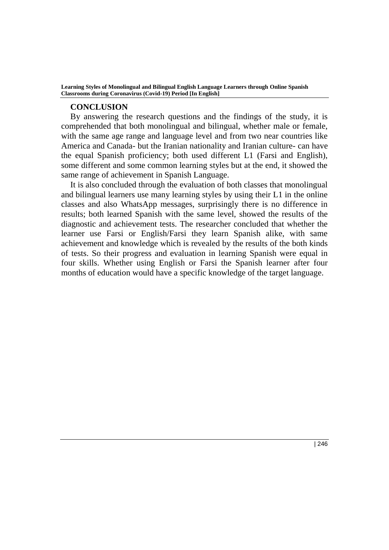#### **CONCLUSION**

By answering the research questions and the findings of the study, it is comprehended that both monolingual and bilingual, whether male or female, with the same age range and language level and from two near countries like America and Canada- but the Iranian nationality and Iranian culture- can have the equal Spanish proficiency; both used different L1 (Farsi and English), some different and some common learning styles but at the end, it showed the same range of achievement in Spanish Language.

It is also concluded through the evaluation of both classes that monolingual and bilingual learners use many learning styles by using their L1 in the online classes and also WhatsApp messages, surprisingly there is no difference in results; both learned Spanish with the same level, showed the results of the diagnostic and achievement tests. The researcher concluded that whether the learner use Farsi or English/Farsi they learn Spanish alike, with same achievement and knowledge which is revealed by the results of the both kinds of tests. So their progress and evaluation in learning Spanish were equal in four skills. Whether using English or Farsi the Spanish learner after four months of education would have a specific knowledge of the target language.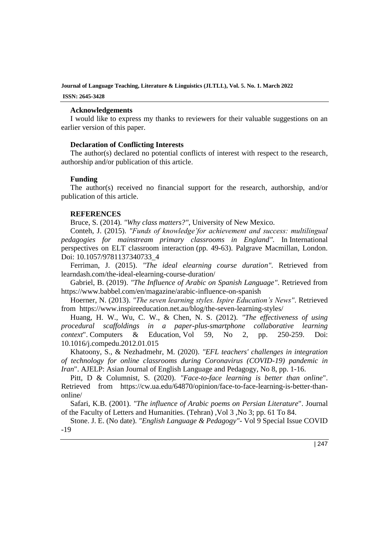#### **Acknowledgements**

I would like to express my thanks to reviewers for their valuable suggestions on an earlier version of this paper.

#### **Declaration of Conflicting Interests**

The author(s) declared no potential conflicts of interest with respect to the research, authorship and/or publication of this article.

#### **Funding**

The author(s) received no financial support for the research, authorship, and/or publication of this article.

#### **REFERENCES**

Bruce, S. (2014). *"Why class matters?"*, University of New Mexico.

Conteh, J. (2015). *"Funds of knowledge'for achievement and success: multilingual pedagogies for mainstream primary classrooms in England".* In International perspectives on ELT classroom interaction (pp. 49-63). Palgrave Macmillan, London. Doi: [10.1057/9781137340733\\_4](http://dx.doi.org/10.1057/9781137340733_4)

Ferriman, J. (2015). *"The ideal elearning course duration".* [Retrieved from](https://www.learndash.com/the-ideal-elearning-course-duration/)  [learndash.com/the-ideal-elearning-course-duration/](https://www.learndash.com/the-ideal-elearning-course-duration/)

Gabriel, B. (2019). *"The Influence of Arabic on Spanish Language"*. Retrieved from <https://www.babbel.com/en/magazine/arabic-influence-on-spanish>

Hoerner, N. (2013). *"The seven learning styles. Ispire Education's News"*. Retrieved from <https://www.inspireeducation.net.au/blog/the-seven-learning-styles/>

Huang, H. W., Wu, C. W., & Chen, N. S. (2012). *"The effectiveness of using procedural scaffoldings in a paper-plus-smartphone collaborative learning context*". Computers & Education, Vol 59, No 2, pp. 250-259. Doi: [10.1016/j.compedu.2012.01.015](https://doi.org/10.1016/j.compedu.2012.01.015)

Khatoony, S., & Nezhadmehr, M. (2020). *"EFL teachers' challenges in integration of technology for online classrooms during Coronavirus (COVID-19) pandemic in Iran*". AJELP: Asian Journal of English Language and Pedagogy, No 8, pp. 1-16.

Pitt, D & Columnist, S. (2020). *"Face-to-face learning is better than online*". Retrieved from [https://cw.ua.edu/64870/opinion/face-to-face-learning-is-better-than](https://cw.ua.edu/64870/opinion/face-to-face-learning-is-better-than-online/)[online/](https://cw.ua.edu/64870/opinion/face-to-face-learning-is-better-than-online/)

Safari, K.B. (2001). *"The influence of Arabic poems on Persian Literature*". [Journal](https://www.sid.ir/En/Journal/JournalList.aspx?ID=283) of the Faculty of Letters and [Humanities.](https://www.sid.ir/En/Journal/JournalList.aspx?ID=283) (Tehran) [,Vol](https://www.sid.ir/En/Journal/JournalListPaper.aspx?ID=10778) 3 ,No 3; pp. 61 To 84.

Stone. J. E. (No date). *"English Language & Pedagogy"*- Vol 9 Special Issue COVID -19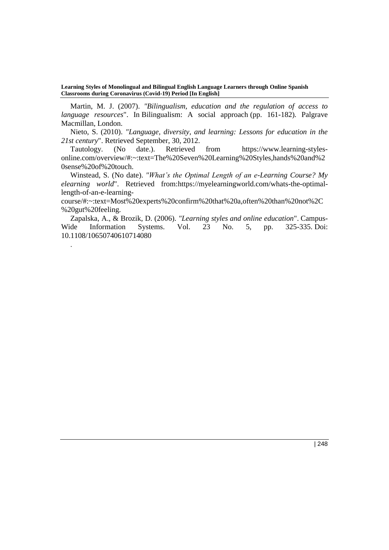Martin, M. J. (2007). *"Bilingualism, education and the regulation of access to language resources*". In Bilingualism: A social approach (pp. 161-182). Palgrave Macmillan, London.

Nieto, S. (2010). *"Language, diversity, and learning: Lessons for education in the 21st century*". Retrieved September, 30, 2012.

Tautology. (No date.). Retrieved from [https://www.learning-styles](https://www.learning-styles-online.com/overview/#:~:text=The%20Seven%20Learning%20Styles,hands%20and%20sense%20of%20touch.)[online.com/overview/#:~:text=The%20Seven%20Learning%20Styles,hands%20and%2](https://www.learning-styles-online.com/overview/#:~:text=The%20Seven%20Learning%20Styles,hands%20and%20sense%20of%20touch.) [0sense%20of%20touch.](https://www.learning-styles-online.com/overview/#:~:text=The%20Seven%20Learning%20Styles,hands%20and%20sense%20of%20touch.)

Winstead, S. (No date). *"What's the Optimal Length of an e-Learning Course? My elearning world*". Retrieved from[:https://myelearningworld.com/whats-the-optimal](https://myelearningworld.com/whats-the-optimal-length-of-an-e-learning-course/#:~:text=Most%20experts%20confirm%20that%20a,often%20than%20not%2C%20gut%20feeling.)[length-of-an-e-learning-](https://myelearningworld.com/whats-the-optimal-length-of-an-e-learning-course/#:~:text=Most%20experts%20confirm%20that%20a,often%20than%20not%2C%20gut%20feeling.)

[course/#:~:text=Most%20experts%20confirm%20that%20a,often%20than%20not%2C](https://myelearningworld.com/whats-the-optimal-length-of-an-e-learning-course/#:~:text=Most%20experts%20confirm%20that%20a,often%20than%20not%2C%20gut%20feeling.) [%20gut%20feeling.](https://myelearningworld.com/whats-the-optimal-length-of-an-e-learning-course/#:~:text=Most%20experts%20confirm%20that%20a,often%20than%20not%2C%20gut%20feeling.)

Zapalska, A., & Brozik, D. (2006). *"Learning styles and online education*". Campus-Wide Information Systems. Vol. 23 No. 5, pp. 325-335. Doi: [10.1108/10650740610714080](https://doi.org/10.1108/10650740610714080)

.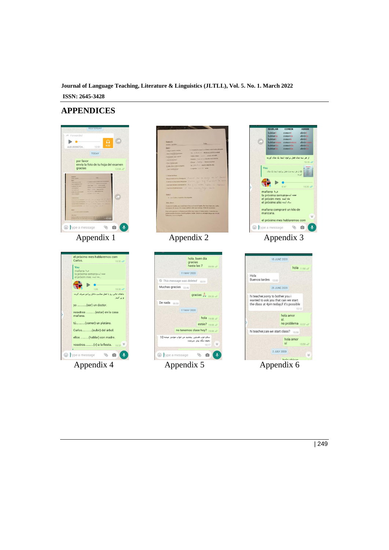# **APPENDICES**